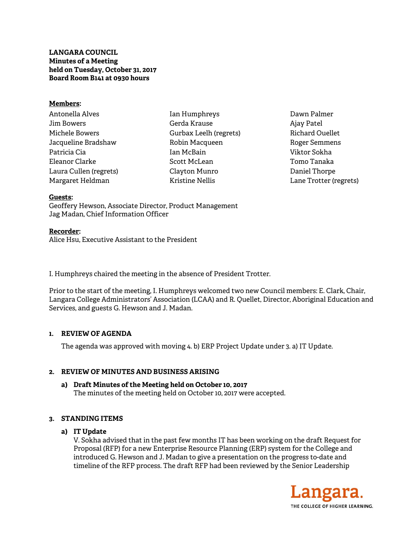**LANGARA COUNCIL Minutes of a Meeting held on Tuesday, October 31, 2017 Board Room B141 at 0930 hours** 

#### **Members:**

Antonella Alves Jim Bowers Michele Bowers Jacqueline Bradshaw Patricia Cia Eleanor Clarke Laura Cullen (regrets) Margaret Heldman

Ian Humphreys Gerda Krause Gurbax Leelh (regrets) Robin Macqueen Ian McBain Scott McLean Clayton Munro Kristine Nellis

Dawn Palmer Ajay Patel Richard Ouellet Roger Semmens Viktor Sokha Tomo Tanaka Daniel Thorpe Lane Trotter (regrets)

#### **Guests:**

Geoffery Hewson, Associate Director, Product Management Jag Madan, Chief Information Officer

# **Recorder:**

Alice Hsu, Executive Assistant to the President

I. Humphreys chaired the meeting in the absence of President Trotter.

Prior to the start of the meeting, I. Humphreys welcomed two new Council members: E. Clark, Chair, Langara College Administrators' Association (LCAA) and R. Quellet, Director, Aboriginal Education and Services, and guests G. Hewson and J. Madan.

# **1. REVIEW OF AGENDA**

The agenda was approved with moving 4. b) ERP Project Update under 3. a) IT Update.

# **2. REVIEW OF MINUTES AND BUSINESS ARISING**

**a) Draft Minutes of the Meeting held on October 10, 2017**  The minutes of the meeting held on October 10, 2017 were accepted.

# **3. STANDING ITEMS**

# **a) IT Update**

V. Sokha advised that in the past few months IT has been working on the draft Request for Proposal (RFP) for a new Enterprise Resource Planning (ERP) system for the College and introduced G. Hewson and J. Madan to give a presentation on the progress to-date and timeline of the RFP process. The draft RFP had been reviewed by the Senior Leadership